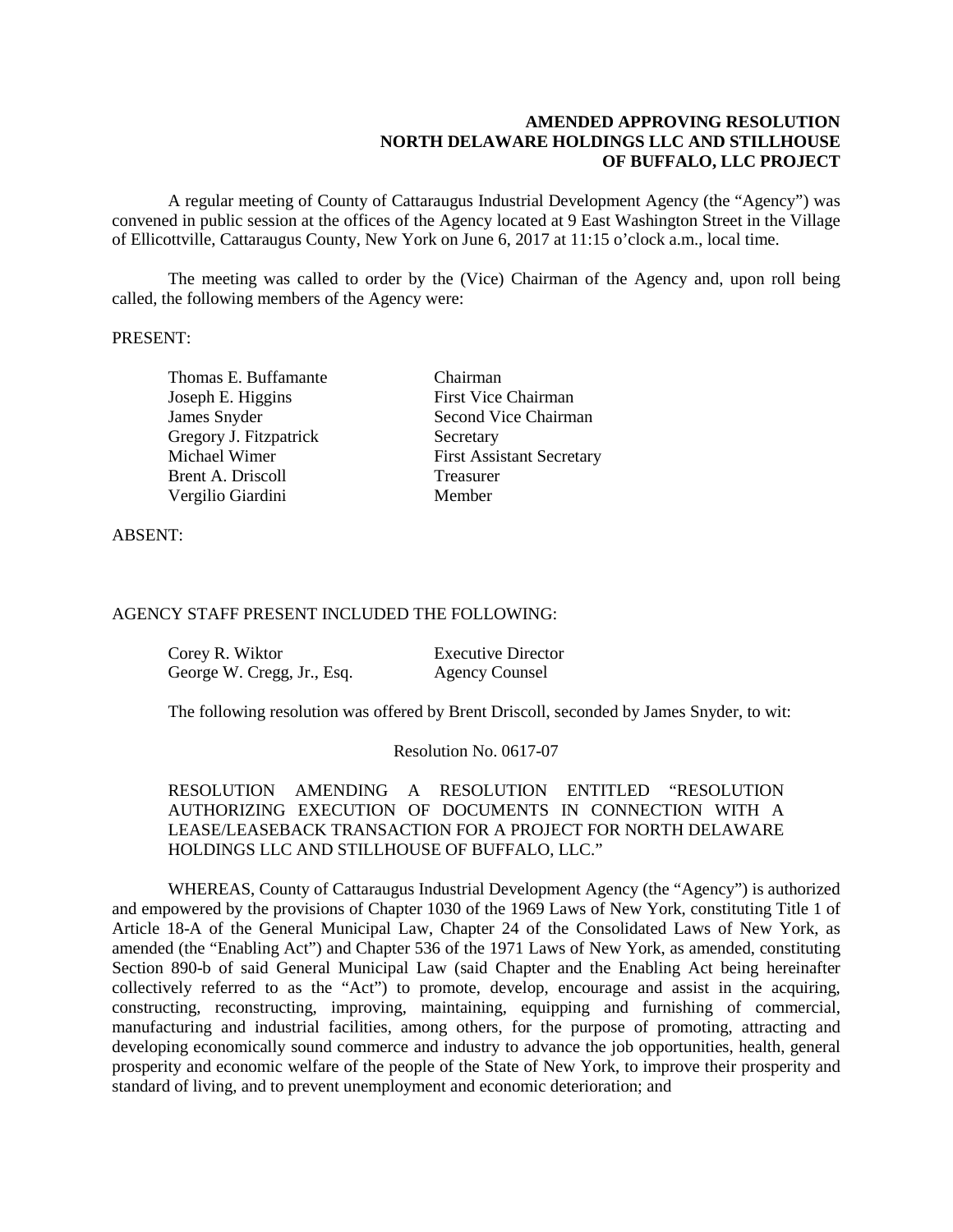## **AMENDED APPROVING RESOLUTION NORTH DELAWARE HOLDINGS LLC AND STILLHOUSE OF BUFFALO, LLC PROJECT**

A regular meeting of County of Cattaraugus Industrial Development Agency (the "Agency") was convened in public session at the offices of the Agency located at 9 East Washington Street in the Village of Ellicottville, Cattaraugus County, New York on June 6, 2017 at 11:15 o'clock a.m., local time.

The meeting was called to order by the (Vice) Chairman of the Agency and, upon roll being called, the following members of the Agency were:

## PRESENT:

Thomas E. Buffamante Chairman Joseph E. Higgins First Vice Chairman Gregory J. Fitzpatrick Secretary Brent A. Driscoll Treasurer Vergilio Giardini Member

**James Snyder Second Vice Chairman** Michael Wimer First Assistant Secretary

ABSENT:

## AGENCY STAFF PRESENT INCLUDED THE FOLLOWING:

| Corey R. Wiktor            | <b>Executive Director</b> |
|----------------------------|---------------------------|
| George W. Cregg, Jr., Esq. | <b>Agency Counsel</b>     |

The following resolution was offered by Brent Driscoll, seconded by James Snyder, to wit:

Resolution No. 0617-07

RESOLUTION AMENDING A RESOLUTION ENTITLED "RESOLUTION AUTHORIZING EXECUTION OF DOCUMENTS IN CONNECTION WITH A LEASE/LEASEBACK TRANSACTION FOR A PROJECT FOR NORTH DELAWARE HOLDINGS LLC AND STILLHOUSE OF BUFFALO, LLC."

WHEREAS, County of Cattaraugus Industrial Development Agency (the "Agency") is authorized and empowered by the provisions of Chapter 1030 of the 1969 Laws of New York, constituting Title 1 of Article 18-A of the General Municipal Law, Chapter 24 of the Consolidated Laws of New York, as amended (the "Enabling Act") and Chapter 536 of the 1971 Laws of New York, as amended, constituting Section 890-b of said General Municipal Law (said Chapter and the Enabling Act being hereinafter collectively referred to as the "Act") to promote, develop, encourage and assist in the acquiring, constructing, reconstructing, improving, maintaining, equipping and furnishing of commercial, manufacturing and industrial facilities, among others, for the purpose of promoting, attracting and developing economically sound commerce and industry to advance the job opportunities, health, general prosperity and economic welfare of the people of the State of New York, to improve their prosperity and standard of living, and to prevent unemployment and economic deterioration; and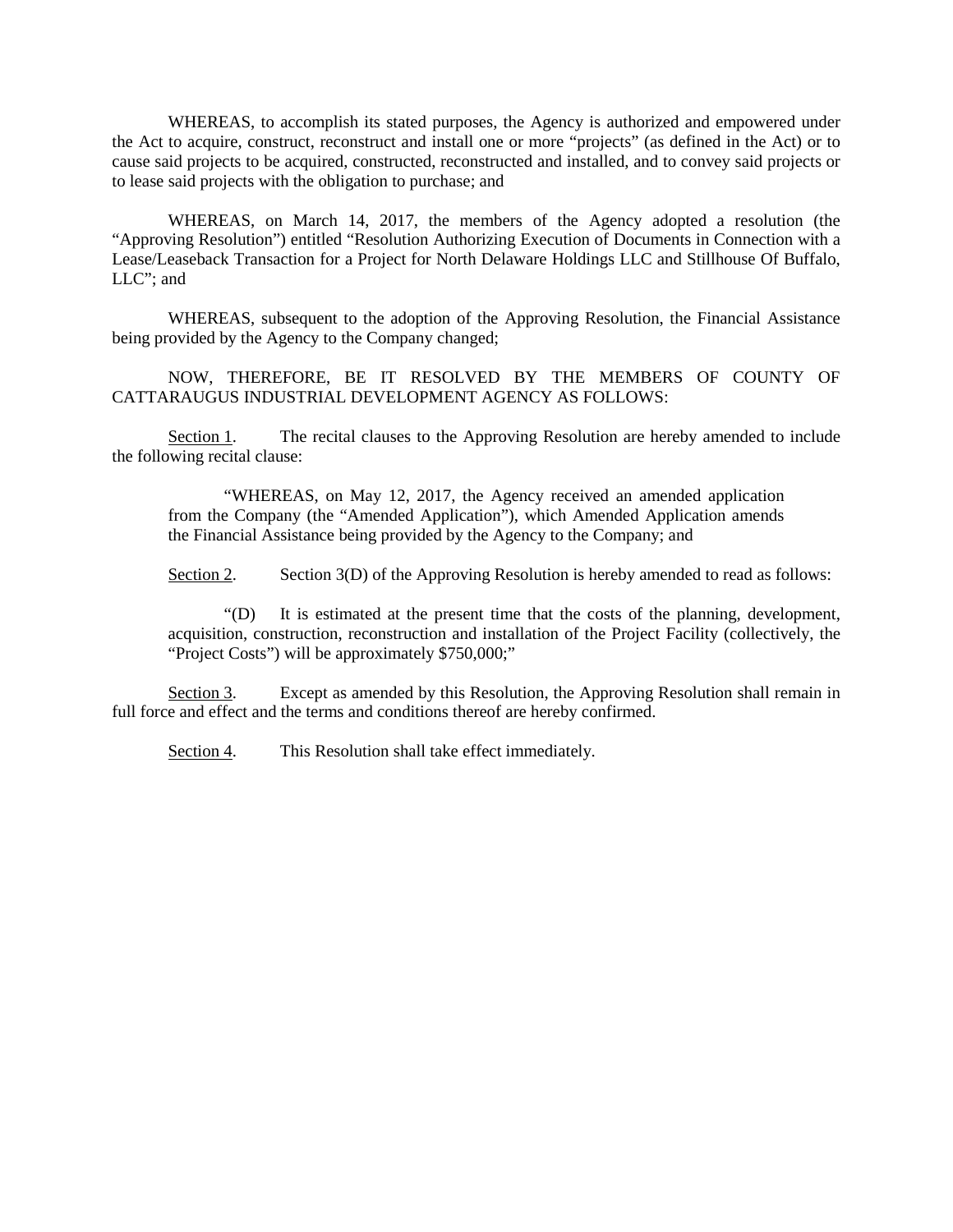WHEREAS, to accomplish its stated purposes, the Agency is authorized and empowered under the Act to acquire, construct, reconstruct and install one or more "projects" (as defined in the Act) or to cause said projects to be acquired, constructed, reconstructed and installed, and to convey said projects or to lease said projects with the obligation to purchase; and

WHEREAS, on March 14, 2017, the members of the Agency adopted a resolution (the "Approving Resolution") entitled "Resolution Authorizing Execution of Documents in Connection with a Lease/Leaseback Transaction for a Project for North Delaware Holdings LLC and Stillhouse Of Buffalo, LLC"; and

WHEREAS, subsequent to the adoption of the Approving Resolution, the Financial Assistance being provided by the Agency to the Company changed;

NOW, THEREFORE, BE IT RESOLVED BY THE MEMBERS OF COUNTY OF CATTARAUGUS INDUSTRIAL DEVELOPMENT AGENCY AS FOLLOWS:

Section 1. The recital clauses to the Approving Resolution are hereby amended to include the following recital clause:

"WHEREAS, on May 12, 2017, the Agency received an amended application from the Company (the "Amended Application"), which Amended Application amends the Financial Assistance being provided by the Agency to the Company; and

Section 2. Section 3(D) of the Approving Resolution is hereby amended to read as follows:

"(D) It is estimated at the present time that the costs of the planning, development, acquisition, construction, reconstruction and installation of the Project Facility (collectively, the "Project Costs") will be approximately \$750,000;"

Section 3. Except as amended by this Resolution, the Approving Resolution shall remain in full force and effect and the terms and conditions thereof are hereby confirmed.

Section 4. This Resolution shall take effect immediately.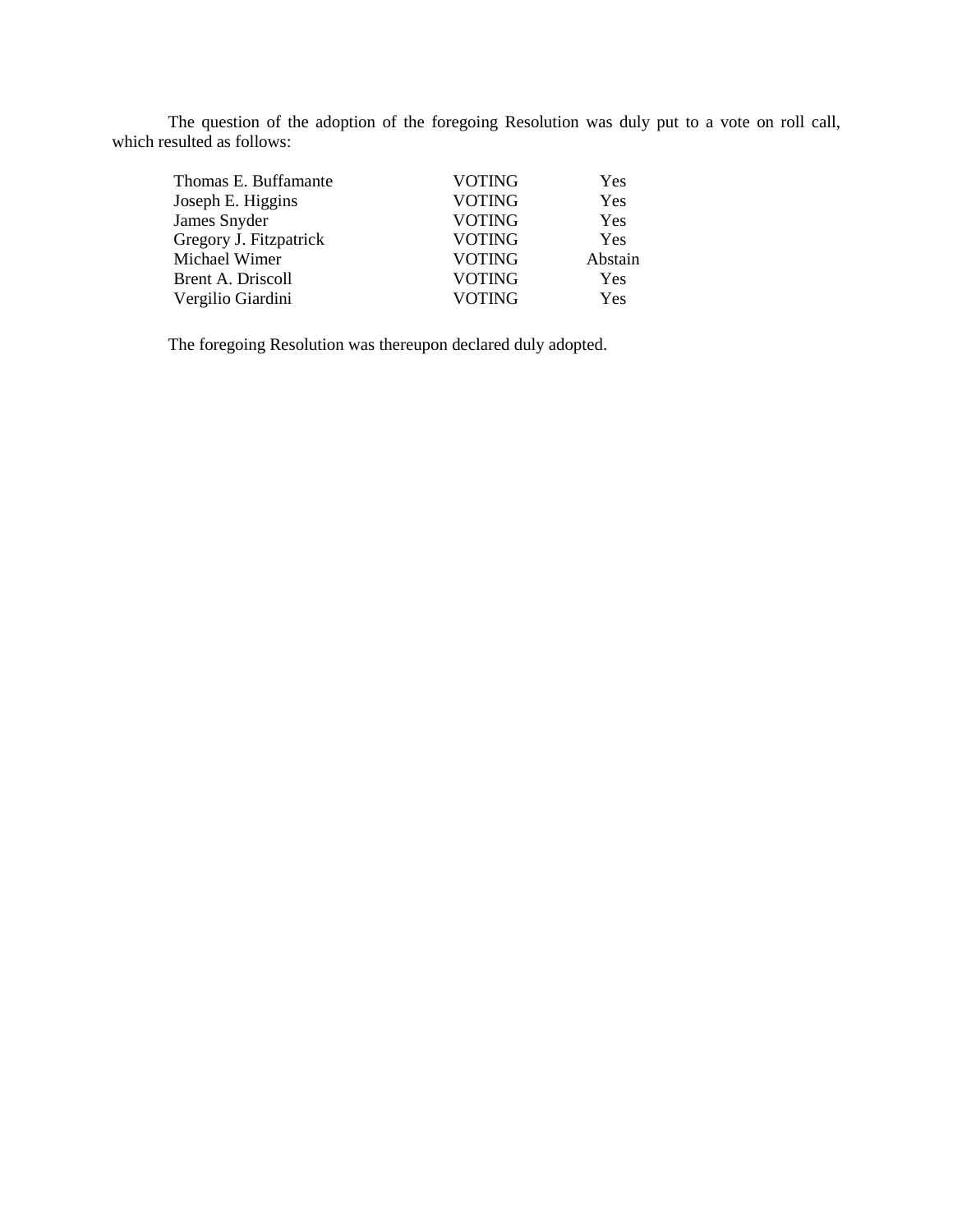The question of the adoption of the foregoing Resolution was duly put to a vote on roll call, which resulted as follows:

| Thomas E. Buffamante     | <b>VOTING</b> | Yes     |
|--------------------------|---------------|---------|
| Joseph E. Higgins        | <b>VOTING</b> | Yes     |
| James Snyder             | <b>VOTING</b> | Yes     |
| Gregory J. Fitzpatrick   | <b>VOTING</b> | Yes     |
| Michael Wimer            | <b>VOTING</b> | Abstain |
| <b>Brent A. Driscoll</b> | <b>VOTING</b> | Yes     |
| Vergilio Giardini        | <b>VOTING</b> | Yes     |
|                          |               |         |

The foregoing Resolution was thereupon declared duly adopted.